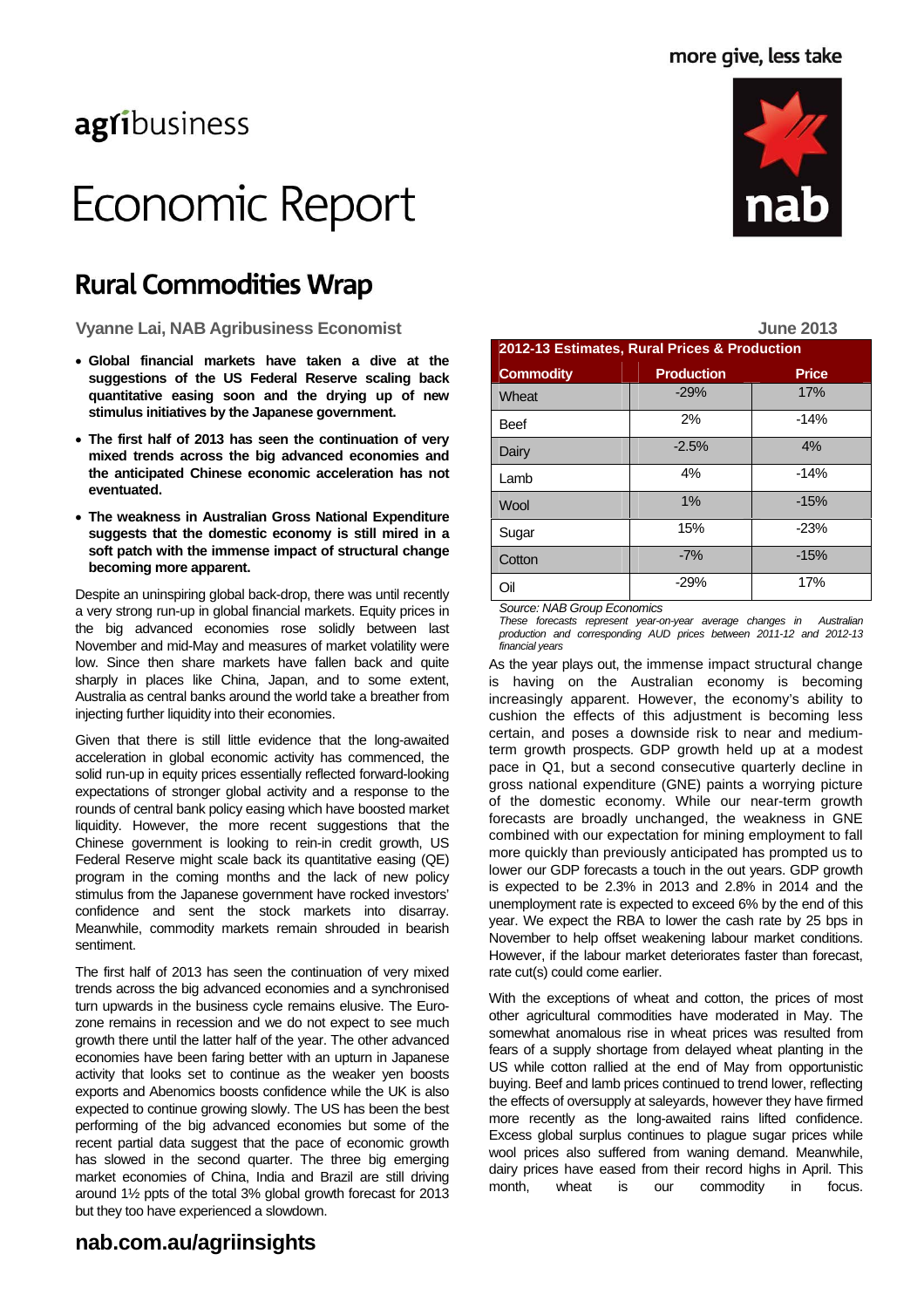# agribusiness

# Economic Report

# **Rural Commodities Wrap**

Vyanne Lai, NAB Agribusiness Economist **Material Struck and August 2013** June 2013

- **Global financial markets have taken a dive at the suggestions of the US Federal Reserve scaling back quantitative easing soon and the drying up of new stimulus initiatives by the Japanese government.**
- **The first half of 2013 has seen the continuation of very mixed trends across the big advanced economies and the anticipated Chinese economic acceleration has not eventuated.**
- **The weakness in Australian Gross National Expenditure suggests that the domestic economy is still mired in a soft patch with the immense impact of structural change becoming more apparent.**

Despite an uninspiring global back-drop, there was until recently a very strong run-up in global financial markets. Equity prices in the big advanced economies rose solidly between last November and mid-May and measures of market volatility were low. Since then share markets have fallen back and quite sharply in places like China, Japan, and to some extent, Australia as central banks around the world take a breather from injecting further liquidity into their economies.

Given that there is still little evidence that the long-awaited acceleration in global economic activity has commenced, the solid run-up in equity prices essentially reflected forward-looking expectations of stronger global activity and a response to the rounds of central bank policy easing which have boosted market liquidity. However, the more recent suggestions that the Chinese government is looking to rein-in credit growth, US Federal Reserve might scale back its quantitative easing (QE) program in the coming months and the lack of new policy stimulus from the Japanese government have rocked investors' confidence and sent the stock markets into disarray. Meanwhile, commodity markets remain shrouded in bearish sentiment.

The first half of 2013 has seen the continuation of very mixed trends across the big advanced economies and a synchronised turn upwards in the business cycle remains elusive. The Eurozone remains in recession and we do not expect to see much growth there until the latter half of the year. The other advanced economies have been faring better with an upturn in Japanese activity that looks set to continue as the weaker yen boosts exports and Abenomics boosts confidence while the UK is also expected to continue growing slowly. The US has been the best performing of the big advanced economies but some of the recent partial data suggest that the pace of economic growth has slowed in the second quarter. The three big emerging market economies of China, India and Brazil are still driving around 1½ ppts of the total 3% global growth forecast for 2013 but they too have experienced a slowdown.



|                                                          |                   | <b>JULIC ZUIJ</b> |  |
|----------------------------------------------------------|-------------------|-------------------|--|
| 2012-13 Estimates, Rural Prices & Production             |                   |                   |  |
| <b>Commodity</b>                                         | <b>Production</b> | <b>Price</b>      |  |
| Wheat                                                    | $-29%$            | 17%               |  |
| <b>Beef</b>                                              | 2%                | $-14%$            |  |
| Dairy                                                    | $-2.5%$           | 4%                |  |
| Lamb                                                     | 4%                | $-14%$            |  |
| Wool                                                     | 1%                | $-15%$            |  |
| Sugar                                                    | 15%               | $-23%$            |  |
| Cotton                                                   | $-7%$             | $-15%$            |  |
| Oil                                                      | $-29%$            | 17%               |  |
| $O2$ , $m2$ , $N I A D Q2$ , $m R2$ , $m2$ , $m2$ , $m2$ |                   |                   |  |

*Source: NAB Group Economics* 

*These forecasts represent year-on-year average changes in Australian production and corresponding AUD prices between 2011-12 and 2012-13 financial years* 

As the year plays out, the immense impact structural change is having on the Australian economy is becoming increasingly apparent. However, the economy's ability to cushion the effects of this adjustment is becoming less certain, and poses a downside risk to near and mediumterm growth prospects. GDP growth held up at a modest pace in Q1, but a second consecutive quarterly decline in gross national expenditure (GNE) paints a worrying picture of the domestic economy. While our near-term growth forecasts are broadly unchanged, the weakness in GNE combined with our expectation for mining employment to fall more quickly than previously anticipated has prompted us to lower our GDP forecasts a touch in the out years. GDP growth is expected to be 2.3% in 2013 and 2.8% in 2014 and the unemployment rate is expected to exceed 6% by the end of this year. We expect the RBA to lower the cash rate by 25 bps in November to help offset weakening labour market conditions. However, if the labour market deteriorates faster than forecast, rate cut(s) could come earlier.

With the exceptions of wheat and cotton, the prices of most other agricultural commodities have moderated in May. The somewhat anomalous rise in wheat prices was resulted from fears of a supply shortage from delayed wheat planting in the US while cotton rallied at the end of May from opportunistic buying. Beef and lamb prices continued to trend lower, reflecting the effects of oversupply at saleyards, however they have firmed more recently as the long-awaited rains lifted confidence. Excess global surplus continues to plague sugar prices while wool prices also suffered from waning demand. Meanwhile, dairy prices have eased from their record highs in April. This month, wheat is our commodity in focus.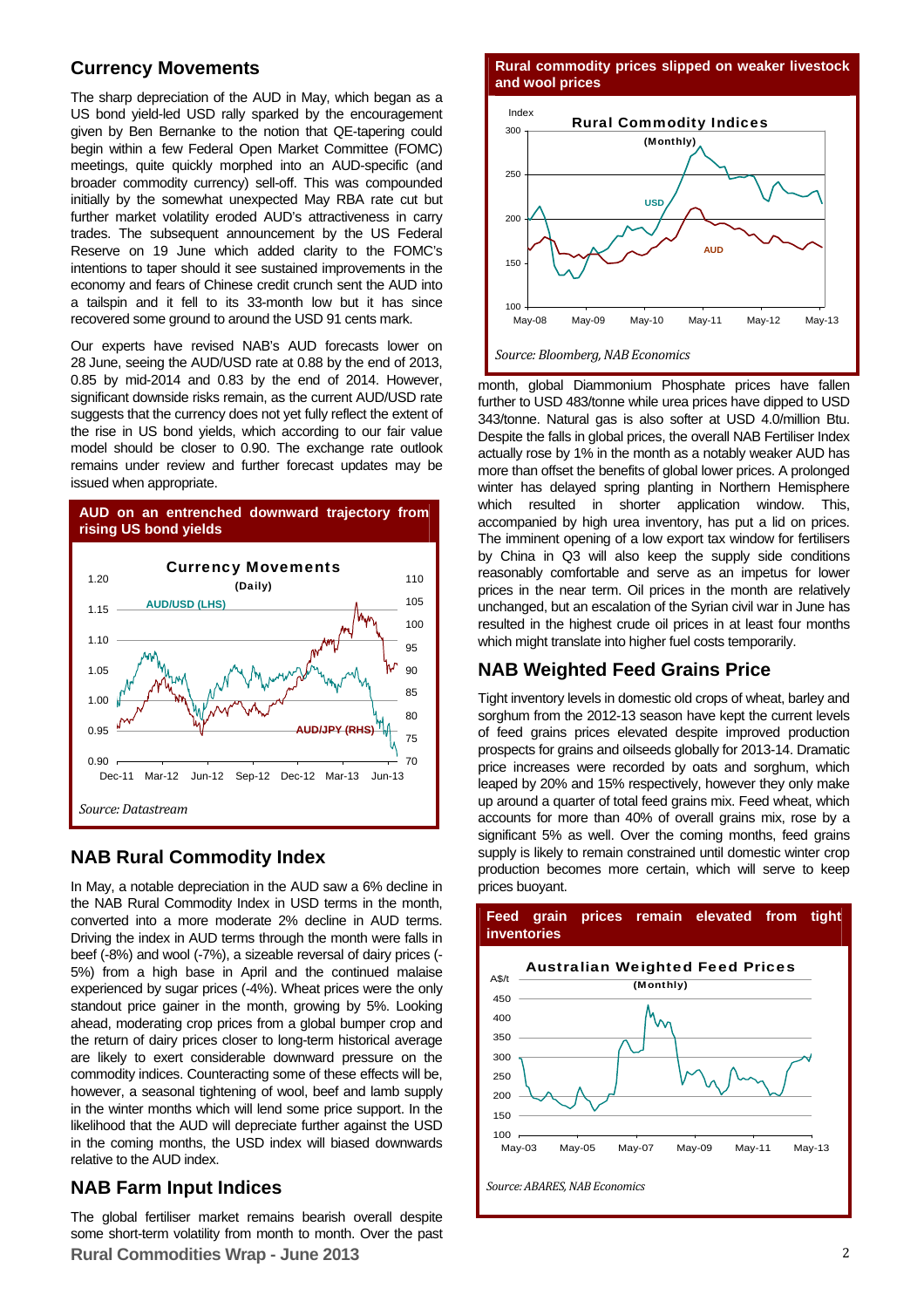#### **Currency Movements**

The sharp depreciation of the AUD in May, which began as a US bond yield-led USD rally sparked by the encouragement given by Ben Bernanke to the notion that QE-tapering could begin within a few Federal Open Market Committee (FOMC) meetings, quite quickly morphed into an AUD-specific (and broader commodity currency) sell-off. This was compounded initially by the somewhat unexpected May RBA rate cut but further market volatility eroded AUD's attractiveness in carry trades. The subsequent announcement by the US Federal Reserve on 19 June which added clarity to the FOMC's intentions to taper should it see sustained improvements in the economy and fears of Chinese credit crunch sent the AUD into a tailspin and it fell to its 33-month low but it has since recovered some ground to around the USD 91 cents mark.

Our experts have revised NAB's AUD forecasts lower on 28 June, seeing the AUD/USD rate at 0.88 by the end of 2013, 0.85 by mid-2014 and 0.83 by the end of 2014. However, significant downside risks remain, as the current AUD/USD rate suggests that the currency does not yet fully reflect the extent of the rise in US bond yields, which according to our fair value model should be closer to 0.90. The exchange rate outlook remains under review and further forecast updates may be issued when appropriate.



#### **NAB Rural Commodity Index**

In May, a notable depreciation in the AUD saw a 6% decline in the NAB Rural Commodity Index in USD terms in the month, converted into a more moderate 2% decline in AUD terms. Driving the index in AUD terms through the month were falls in beef (-8%) and wool (-7%), a sizeable reversal of dairy prices (- 5%) from a high base in April and the continued malaise experienced by sugar prices (-4%). Wheat prices were the only standout price gainer in the month, growing by 5%. Looking ahead, moderating crop prices from a global bumper crop and the return of dairy prices closer to long-term historical average are likely to exert considerable downward pressure on the commodity indices. Counteracting some of these effects will be, however, a seasonal tightening of wool, beef and lamb supply in the winter months which will lend some price support. In the likelihood that the AUD will depreciate further against the USD in the coming months, the USD index will biased downwards relative to the AUD index.

### **NAB Farm Input Indices**

The global fertiliser market remains bearish overall despite some short-term volatility from month to month. Over the past **Rural Commodities Wrap - June 2013**

**Rural commodity prices slipped on weaker livestock and wool prices** 



month, global Diammonium Phosphate prices have fallen further to USD 483/tonne while urea prices have dipped to USD 343/tonne. Natural gas is also softer at USD 4.0/million Btu. Despite the falls in global prices, the overall NAB Fertiliser Index actually rose by 1% in the month as a notably weaker AUD has more than offset the benefits of global lower prices. A prolonged winter has delayed spring planting in Northern Hemisphere which resulted in shorter application window. This, accompanied by high urea inventory, has put a lid on prices. The imminent opening of a low export tax window for fertilisers by China in Q3 will also keep the supply side conditions reasonably comfortable and serve as an impetus for lower prices in the near term. Oil prices in the month are relatively unchanged, but an escalation of the Syrian civil war in June has resulted in the highest crude oil prices in at least four months which might translate into higher fuel costs temporarily.

### **NAB Weighted Feed Grains Price**

Tight inventory levels in domestic old crops of wheat, barley and sorghum from the 2012-13 season have kept the current levels of feed grains prices elevated despite improved production prospects for grains and oilseeds globally for 2013-14. Dramatic price increases were recorded by oats and sorghum, which leaped by 20% and 15% respectively, however they only make up around a quarter of total feed grains mix. Feed wheat, which accounts for more than 40% of overall grains mix, rose by a significant 5% as well. Over the coming months, feed grains supply is likely to remain constrained until domestic winter crop production becomes more certain, which will serve to keep prices buoyant.



#### **Feed grain prices remain elevated from tight inventories**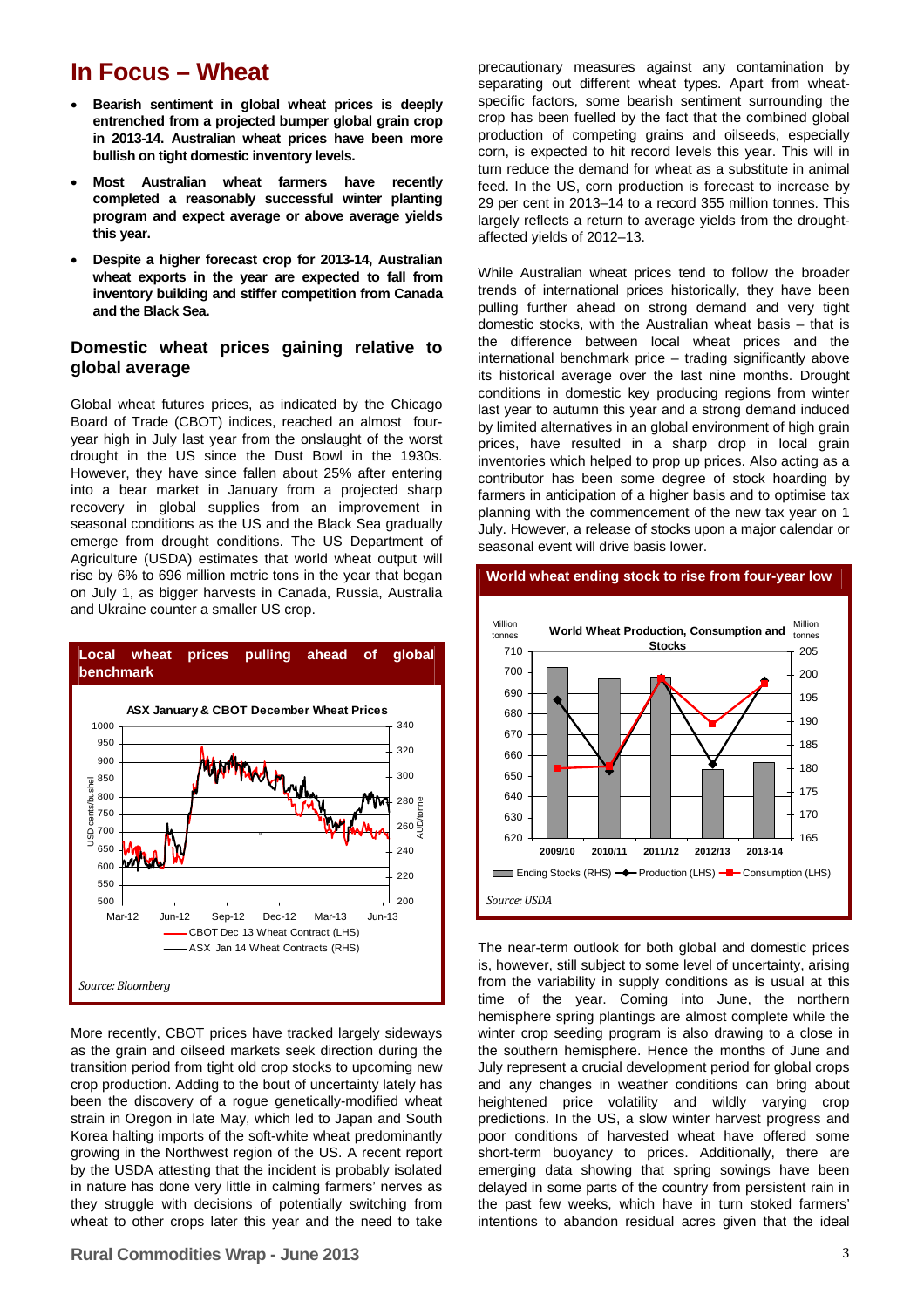### **In Focus – Wheat**

- **Bearish sentiment in global wheat prices is deeply entrenched from a projected bumper global grain crop in 2013-14. Australian wheat prices have been more bullish on tight domestic inventory levels.**
- **Most Australian wheat farmers have recently completed a reasonably successful winter planting program and expect average or above average yields this year.**
- **Despite a higher forecast crop for 2013-14, Australian wheat exports in the year are expected to fall from inventory building and stiffer competition from Canada and the Black Sea.**

#### **Domestic wheat prices gaining relative to global average**

Global wheat futures prices, as indicated by the Chicago Board of Trade (CBOT) indices, reached an almost fouryear high in July last year from the onslaught of the worst drought in the US since the Dust Bowl in the 1930s. However, they have since fallen about 25% after entering into a bear market in January from a projected sharp recovery in global supplies from an improvement in seasonal conditions as the US and the Black Sea gradually emerge from drought conditions. The US Department of Agriculture (USDA) estimates that world wheat output will rise by 6% to 696 million metric tons in the year that began on July 1, as bigger harvests in Canada, Russia, Australia and Ukraine counter a smaller US crop.



More recently, CBOT prices have tracked largely sideways as the grain and oilseed markets seek direction during the transition period from tight old crop stocks to upcoming new crop production. Adding to the bout of uncertainty lately has been the discovery of a rogue genetically-modified wheat strain in Oregon in late May, which led to Japan and South Korea halting imports of the soft-white wheat predominantly growing in the Northwest region of the US. A recent report by the USDA attesting that the incident is probably isolated in nature has done very little in calming farmers' nerves as they struggle with decisions of potentially switching from wheat to other crops later this year and the need to take

precautionary measures against any contamination by separating out different wheat types. Apart from wheatspecific factors, some bearish sentiment surrounding the crop has been fuelled by the fact that the combined global production of competing grains and oilseeds, especially corn, is expected to hit record levels this year. This will in turn reduce the demand for wheat as a substitute in animal feed. In the US, corn production is forecast to increase by 29 per cent in 2013–14 to a record 355 million tonnes. This largely reflects a return to average yields from the droughtaffected yields of 2012–13.

While Australian wheat prices tend to follow the broader trends of international prices historically, they have been pulling further ahead on strong demand and very tight domestic stocks, with the Australian wheat basis – that is the difference between local wheat prices and the international benchmark price – trading significantly above its historical average over the last nine months. Drought conditions in domestic key producing regions from winter last year to autumn this year and a strong demand induced by limited alternatives in an global environment of high grain prices, have resulted in a sharp drop in local grain inventories which helped to prop up prices. Also acting as a contributor has been some degree of stock hoarding by farmers in anticipation of a higher basis and to optimise tax planning with the commencement of the new tax year on 1 July. However, a release of stocks upon a major calendar or seasonal event will drive basis lower.

#### **World wheat ending stock to rise from four-year low**



The near-term outlook for both global and domestic prices is, however, still subject to some level of uncertainty, arising from the variability in supply conditions as is usual at this time of the year. Coming into June, the northern hemisphere spring plantings are almost complete while the winter crop seeding program is also drawing to a close in the southern hemisphere. Hence the months of June and July represent a crucial development period for global crops and any changes in weather conditions can bring about heightened price volatility and wildly varying crop predictions. In the US, a slow winter harvest progress and poor conditions of harvested wheat have offered some short-term buoyancy to prices. Additionally, there are emerging data showing that spring sowings have been delayed in some parts of the country from persistent rain in the past few weeks, which have in turn stoked farmers' intentions to abandon residual acres given that the ideal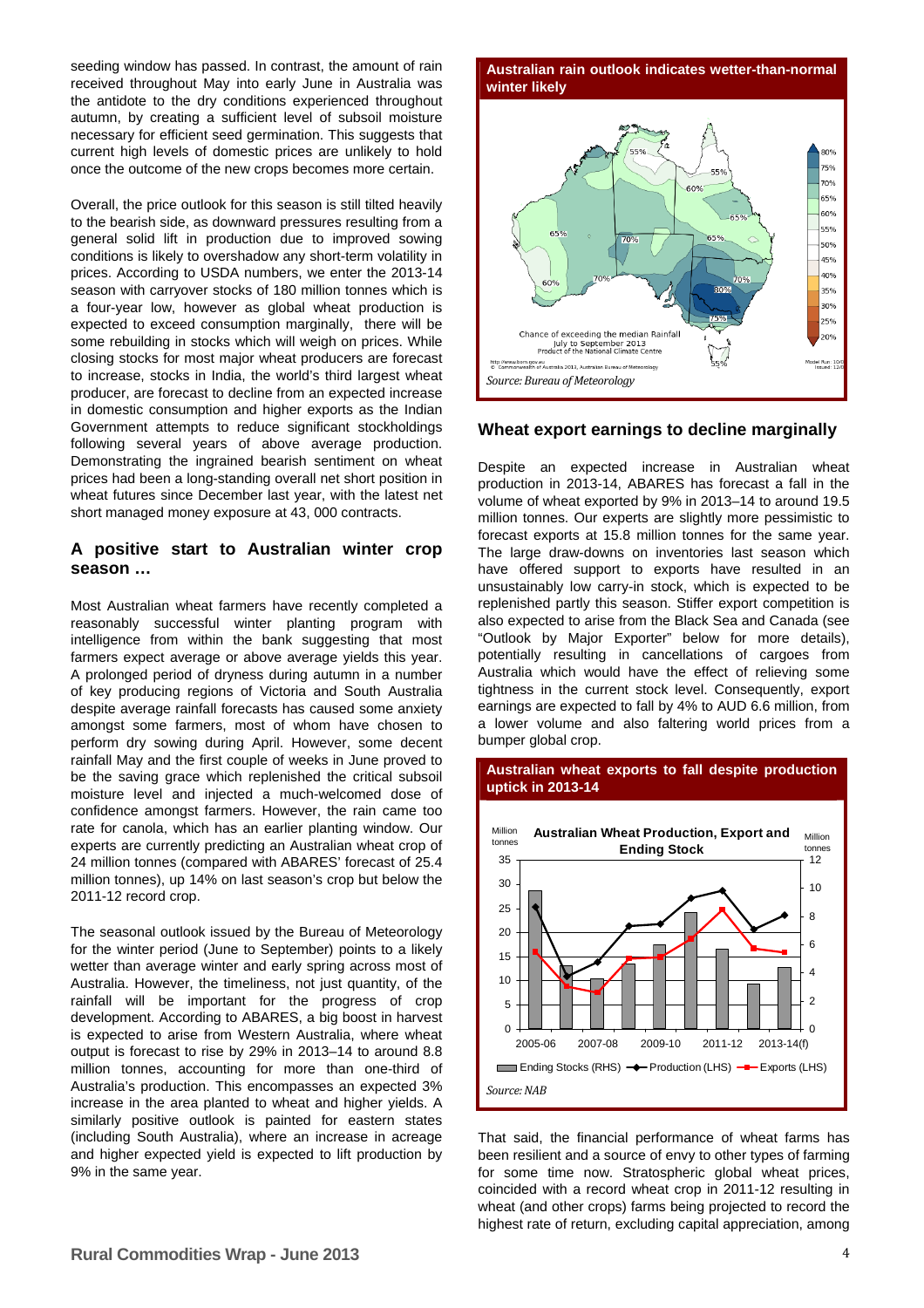seeding window has passed. In contrast, the amount of rain received throughout May into early June in Australia was the antidote to the dry conditions experienced throughout autumn, by creating a sufficient level of subsoil moisture necessary for efficient seed germination. This suggests that current high levels of domestic prices are unlikely to hold once the outcome of the new crops becomes more certain.

Overall, the price outlook for this season is still tilted heavily to the bearish side, as downward pressures resulting from a general solid lift in production due to improved sowing conditions is likely to overshadow any short-term volatility in prices. According to USDA numbers, we enter the 2013-14 season with carryover stocks of 180 million tonnes which is a four-year low, however as global wheat production is expected to exceed consumption marginally, there will be some rebuilding in stocks which will weigh on prices. While closing stocks for most major wheat producers are forecast to increase, stocks in India, the world's third largest wheat producer, are forecast to decline from an expected increase in domestic consumption and higher exports as the Indian Government attempts to reduce significant stockholdings following several years of above average production. Demonstrating the ingrained bearish sentiment on wheat prices had been a long-standing overall net short position in wheat futures since December last year, with the latest net short managed money exposure at 43, 000 contracts.

#### **A positive start to Australian winter crop season …**

Most Australian wheat farmers have recently completed a reasonably successful winter planting program with intelligence from within the bank suggesting that most farmers expect average or above average yields this year. A prolonged period of dryness during autumn in a number of key producing regions of Victoria and South Australia despite average rainfall forecasts has caused some anxiety amongst some farmers, most of whom have chosen to perform dry sowing during April. However, some decent rainfall May and the first couple of weeks in June proved to be the saving grace which replenished the critical subsoil moisture level and injected a much-welcomed dose of confidence amongst farmers. However, the rain came too rate for canola, which has an earlier planting window. Our experts are currently predicting an Australian wheat crop of 24 million tonnes (compared with ABARES' forecast of 25.4 million tonnes), up 14% on last season's crop but below the 2011-12 record crop.

The seasonal outlook issued by the Bureau of Meteorology for the winter period (June to September) points to a likely wetter than average winter and early spring across most of Australia. However, the timeliness, not just quantity, of the rainfall will be important for the progress of crop development. According to ABARES, a big boost in harvest is expected to arise from Western Australia, where wheat output is forecast to rise by 29% in 2013–14 to around 8.8 million tonnes, accounting for more than one-third of Australia's production. This encompasses an expected 3% increase in the area planted to wheat and higher yields. A similarly positive outlook is painted for eastern states (including South Australia), where an increase in acreage and higher expected yield is expected to lift production by 9% in the same year.

**Australian rain outlook indicates wetter-than-normal winter likely** 



#### **Wheat export earnings to decline marginally**

Despite an expected increase in Australian wheat production in 2013-14, ABARES has forecast a fall in the volume of wheat exported by 9% in 2013–14 to around 19.5 million tonnes. Our experts are slightly more pessimistic to forecast exports at 15.8 million tonnes for the same year. The large draw-downs on inventories last season which have offered support to exports have resulted in an unsustainably low carry-in stock, which is expected to be replenished partly this season. Stiffer export competition is also expected to arise from the Black Sea and Canada (see "Outlook by Major Exporter" below for more details), potentially resulting in cancellations of cargoes from Australia which would have the effect of relieving some tightness in the current stock level. Consequently, export earnings are expected to fall by 4% to AUD 6.6 million, from a lower volume and also faltering world prices from a bumper global crop.



**Australian wheat exports to fall despite production uptick in 2013-14** 

That said, the financial performance of wheat farms has been resilient and a source of envy to other types of farming for some time now. Stratospheric global wheat prices, coincided with a record wheat crop in 2011-12 resulting in wheat (and other crops) farms being projected to record the highest rate of return, excluding capital appreciation, among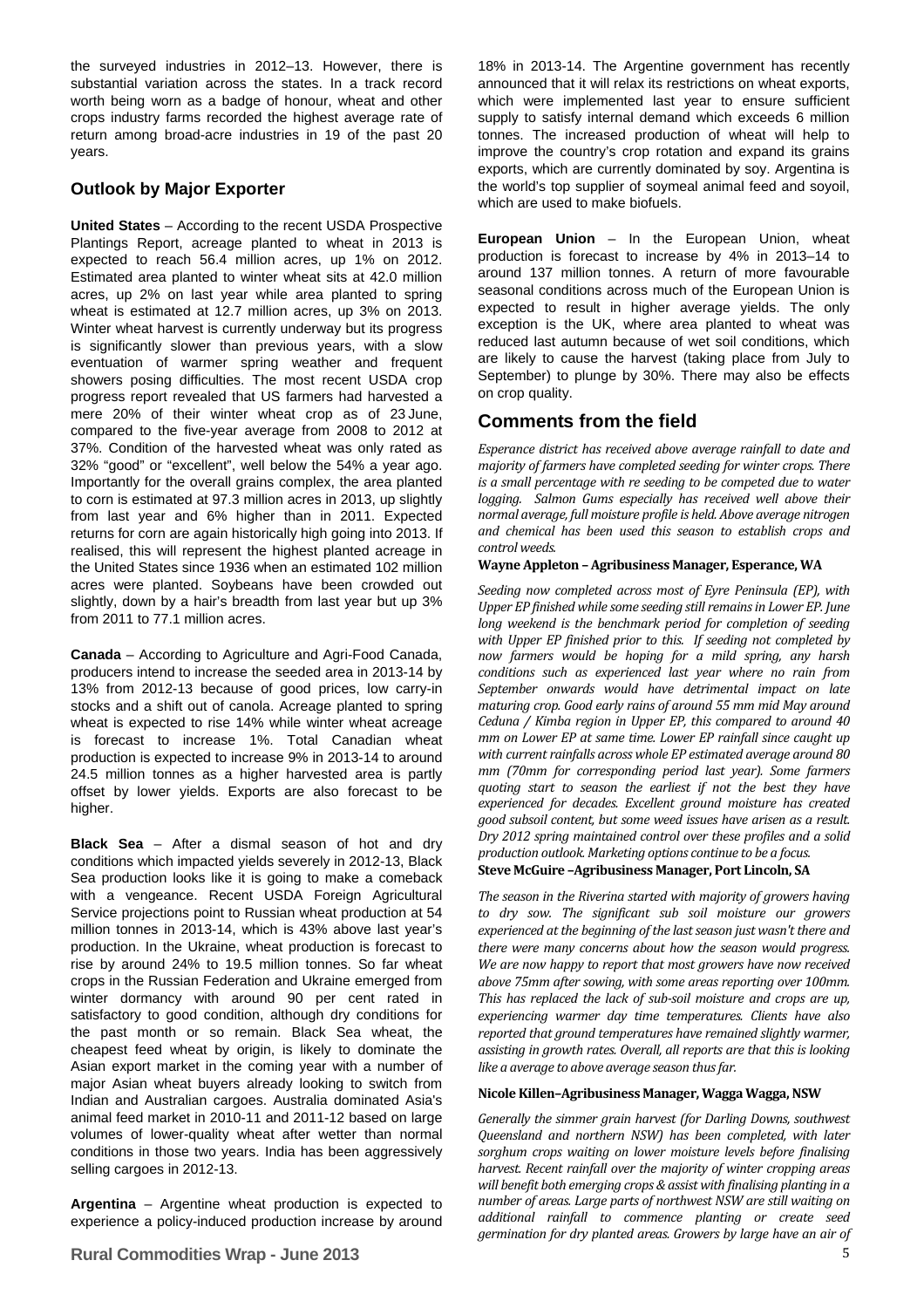the surveyed industries in 2012–13. However, there is substantial variation across the states. In a track record worth being worn as a badge of honour, wheat and other crops industry farms recorded the highest average rate of return among broad-acre industries in 19 of the past 20 years.

#### **Outlook by Major Exporter**

**United States** – According to the recent USDA Prospective Plantings Report, acreage planted to wheat in 2013 is expected to reach 56.4 million acres, up 1% on 2012. Estimated area planted to winter wheat sits at 42.0 million acres, up 2% on last year while area planted to spring wheat is estimated at 12.7 million acres, up 3% on 2013. Winter wheat harvest is currently underway but its progress is significantly slower than previous years, with a slow eventuation of warmer spring weather and frequent showers posing difficulties. The most recent USDA crop progress report revealed that US farmers had harvested a mere 20% of their winter wheat crop as of 23 June, compared to the five-year average from 2008 to 2012 at 37%. Condition of the harvested wheat was only rated as 32% "good" or "excellent", well below the 54% a year ago. Importantly for the overall grains complex, the area planted to corn is estimated at 97.3 million acres in 2013, up slightly from last year and 6% higher than in 2011. Expected returns for corn are again historically high going into 2013. If realised, this will represent the highest planted acreage in the United States since 1936 when an estimated 102 million acres were planted. Soybeans have been crowded out slightly, down by a hair's breadth from last year but up 3% from 2011 to 77.1 million acres.

**Canada** – According to Agriculture and Agri-Food Canada, producers intend to increase the seeded area in 2013-14 by 13% from 2012-13 because of good prices, low carry-in stocks and a shift out of canola. Acreage planted to spring wheat is expected to rise 14% while winter wheat acreage is forecast to increase 1%. Total Canadian wheat production is expected to increase 9% in 2013-14 to around 24.5 million tonnes as a higher harvested area is partly offset by lower yields. Exports are also forecast to be higher.

**Black Sea** – After a dismal season of hot and dry conditions which impacted yields severely in 2012-13, Black Sea production looks like it is going to make a comeback with a vengeance. Recent USDA Foreign Agricultural Service projections point to Russian wheat production at 54 million tonnes in 2013-14, which is 43% above last year's production. In the Ukraine, wheat production is forecast to rise by around 24% to 19.5 million tonnes. So far wheat crops in the Russian Federation and Ukraine emerged from winter dormancy with around 90 per cent rated in satisfactory to good condition, although dry conditions for the past month or so remain. Black Sea wheat, the cheapest feed wheat by origin, is likely to dominate the Asian export market in the coming year with a number of major Asian wheat buyers already looking to switch from Indian and Australian cargoes. Australia dominated Asia's animal feed market in 2010-11 and 2011-12 based on large volumes of lower-quality wheat after wetter than normal conditions in those two years. India has been aggressively selling cargoes in 2012-13.

**Argentina** – Argentine wheat production is expected to experience a policy-induced production increase by around 18% in 2013-14. The Argentine government has recently announced that it will relax its restrictions on wheat exports, which were implemented last year to ensure sufficient supply to satisfy internal demand which exceeds 6 million tonnes. The increased production of wheat will help to improve the country's crop rotation and expand its grains exports, which are currently dominated by soy. Argentina is the world's top supplier of soymeal animal feed and soyoil, which are used to make biofuels.

**European Union** – In the European Union, wheat production is forecast to increase by 4% in 2013–14 to around 137 million tonnes. A return of more favourable seasonal conditions across much of the European Union is expected to result in higher average yields. The only exception is the UK, where area planted to wheat was reduced last autumn because of wet soil conditions, which are likely to cause the harvest (taking place from July to September) to plunge by 30%. There may also be effects on crop quality.

### **Comments from the field**

*Esperance district has received above average rainfall to date and majority of farmers have completed seeding for winter crops. There is a small percentage with re seeding to be competed due to water logging. Salmon Gums especially has received well above their normal average, full moisture profile is held. Above average nitrogen and chemical has been used this season to establish crops and control weeds.*

#### **Wayne Appleton – Agribusiness Manager, Esperance, WA**

*Seeding now completed across most of Eyre Peninsula (EP), with Upper EP finished while some seeding still remainsin Lower EP. June long weekend is the benchmark period for completion of seeding with Upper EP finished prior to this. If seeding not completed by now farmers would be hoping for a mild spring, any harsh conditions such as experienced last year where no rain from September onwards would have detrimental impact on late maturing crop. Good early rains of around 55 mm mid May around Ceduna / Kimba region in Upper EP, this compared to around 40 mm on Lower EP at same time. Lower EP rainfall since caught up with current rainfalls across whole EP estimated average around 80 mm (70mm for corresponding period last year). Some farmers quoting start to season the earliest if not the best they have experienced for decades. Excellent ground moisture has created good subsoil content, but some weed issues have arisen as a result. Dry 2012 spring maintained control over these profiles and a solid production outlook. Marketing options continue to be a focus.*

#### **Steve McGuire –Agribusiness Manager, Port Lincoln, SA**

*The season in the Riverina started with majority of growers having to dry sow. The significant sub soil moisture our growers experienced at the beginning of the lastseason just wasn't there and there were many concerns about how the season would progress. We are now happy to report that most growers have now received above 75mm after sowing, with some areas reporting over 100mm. This has replaced the lack of subsoil moisture and crops are up, experiencing warmer day time temperatures. Clients have also reported that ground temperatures have remained slightly warmer, assisting in growth rates. Overall, all reports are that this is looking like a average to above average season thusfar.* 

#### **Nicole Killen-Agribusiness Manager, Wagga Wagga, NSW**

*Generally the simmer grain harvest (for Darling Downs, southwest Queensland and northern NSW) has been completed, with later sorghum crops waiting on lower moisture levels before finalising harvest. Recent rainfall over the majority of winter cropping areas will benefit both emerging crops& assist with finalising planting in a number of areas. Large parts of northwest NSW are still waiting on additional rainfall to commence planting or create seed germination for dry planted areas. Growers by large have an air of*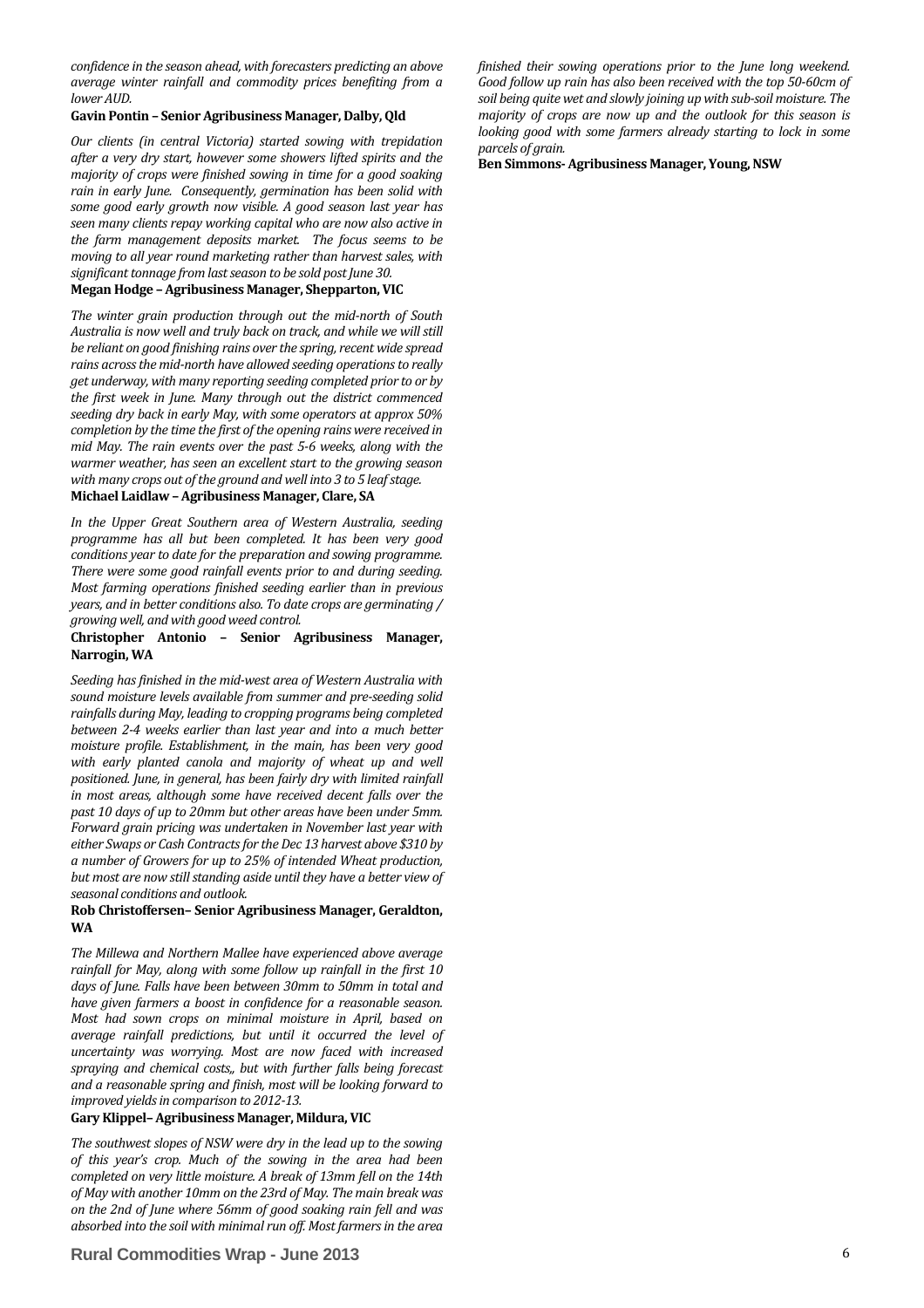*confidence in the season ahead, with forecasters predicting an above average winter rainfall and commodity prices benefiting from a lower AUD.*

#### **Gavin Pontin – SeniorAgribusiness Manager, Dalby,Qld**

*Our clients (in central Victoria) started sowing with trepidation after a very dry start, however some showers lifted spirits and the majority of crops were finished sowing in time for a good soaking rain in early June. Consequently, germination has been solid with some good early growth now visible. A good season last year has seen many clients repay working capital who are now also active in the farm management deposits market. The focus seems to be moving to all year round marketing rather than harvest sales, with significant tonnage from last season to be sold post June 30.* 

#### **Megan Hodge –Agribusiness Manager, Shepparton, VIC**

*The winter grain production through out the midnorth of South Australia is now well and truly back on track, and while we will still be reliant on good finishing rains over the spring, recent wide spread rains acrossthe midnorth have allowed seeding operationsto really get underway, with many reporting seeding completed prior to or by the first week in June. Many through out the district commenced seeding dry back in early May, with some operators at approx 50% completion by the time the first ofthe opening rains were received in mid May. The rain events over the past 56 weeks, along with the warmer weather, has seen an excellent start to the growing season with many crops out ofthe ground and well into 3 to 5 leafstage.* **Michael Laidlaw – Agribusiness Manager, Clare, SA**

*In the Upper Great Southern area of Western Australia, seeding programme has all but been completed. It has been very good conditions year to date for the preparation and sowing programme. There were some good rainfall events prior to and during seeding. Most farming operations finished seeding earlier than in previous years, and in better conditions also. To date crops are germinating / growing well, and with good weed control.*

#### **Christopher Antonio – Senior Agribusiness Manager, Narrogin, WA**

*Seeding has finished in the midwest area of Western Australia with sound moisture levels available from summer and preseeding solid rainfalls during May, leading to cropping programs being completed between 24 weeks earlier than last year and into a much better moisture profile. Establishment, in the main, has been very good with early planted canola and majority of wheat up and well positioned. June, in general, has been fairly dry with limited rainfall in most areas, although some have received decent falls over the past 10 days of up to 20mm but other areas have been under 5mm. Forward grain pricing was undertaken in November last year with either Swaps or Cash Contractsfor the Dec 13 harvest above \$310 by a number of Growers for up to 25% of intended Wheat production, but most are now stillstanding aside until they have a better view of seasonal conditions and outlook.*

#### **Rob Christoffersen– Senior Agribusiness Manager, Geraldton, WA**

*The Millewa and Northern Mallee have experienced above average rainfall for May, along with some follow up rainfall in the first 10 days of June. Falls have been between 30mm to 50mm in total and have given farmers a boost in confidence for a reasonable season. Most had sown crops on minimal moisture in April, based on average rainfall predictions, but until it occurred the level of uncertainty was worrying. Most are now faced with increased spraying and chemical costs,, but with further falls being forecast and a reasonable spring and finish, most will be looking forward to improved yieldsin comparison to 201213.*

#### **GaryKlippel–Agribusiness Manager, Mildura, VIC**

*The southwest slopes of NSW were dry in the lead up to the sowing of this year's crop. Much of the sowing in the area had been completed on very little moisture. A break of 13mm fell on the 14th of May with another 10mm on the 23rd of May. The main break was on the 2nd of June where 56mm of good soaking rain fell and was absorbed into the soil with minimal run off. Most farmersin the area*

#### **Rural Commodities Wrap - June 2013** 6

*finished their sowing operations prior to the June long weekend. Good follow up rain has also been received with the top 5060cm of soil being quite wet and slowly joining up with subsoil moisture. The majority of crops are now up and the outlook for this season is looking good with some farmers already starting to lock in some parcels of grain.*

**Ben Simmons Agribusiness Manager, Young,NSW**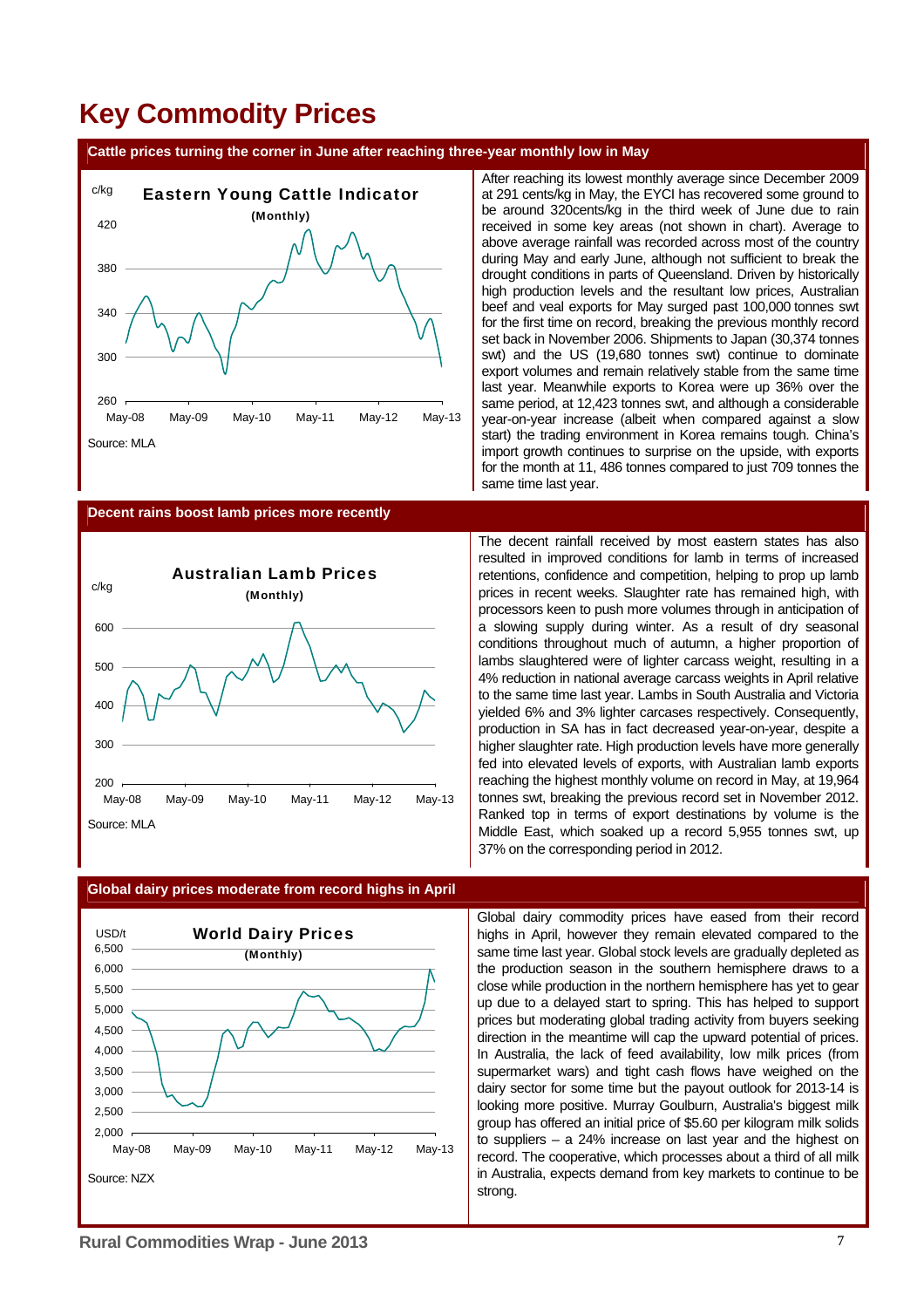# **Key Commodity Prices**

#### **Cattle prices turning the corner in June after reaching three-year monthly low in May**



After reaching its lowest monthly average since December 2009 at 291 cents/kg in May, the EYCI has recovered some ground to be around 320cents/kg in the third week of June due to rain received in some key areas (not shown in chart). Average to above average rainfall was recorded across most of the country during May and early June, although not sufficient to break the drought conditions in parts of Queensland. Driven by historically high production levels and the resultant low prices, Australian beef and veal exports for May surged past 100,000 tonnes swt for the first time on record, breaking the previous monthly record set back in November 2006. Shipments to Japan (30,374 tonnes swt) and the US (19,680 tonnes swt) continue to dominate export volumes and remain relatively stable from the same time last year. Meanwhile exports to Korea were up 36% over the same period, at 12,423 tonnes swt, and although a considerable year-on-year increase (albeit when compared against a slow start) the trading environment in Korea remains tough. China's import growth continues to surprise on the upside, with exports for the month at 11, 486 tonnes compared to just 709 tonnes the same time last year.

#### **Decent rains boost lamb prices more recently**



The decent rainfall received by most eastern states has also resulted in improved conditions for lamb in terms of increased retentions, confidence and competition, helping to prop up lamb prices in recent weeks. Slaughter rate has remained high, with processors keen to push more volumes through in anticipation of a slowing supply during winter. As a result of dry seasonal conditions throughout much of autumn, a higher proportion of lambs slaughtered were of lighter carcass weight, resulting in a 4% reduction in national average carcass weights in April relative to the same time last year. Lambs in South Australia and Victoria yielded 6% and 3% lighter carcases respectively. Consequently, production in SA has in fact decreased year-on-year, despite a higher slaughter rate. High production levels have more generally fed into elevated levels of exports, with Australian lamb exports reaching the highest monthly volume on record in May, at 19,964 tonnes swt, breaking the previous record set in November 2012. Ranked top in terms of export destinations by volume is the Middle East, which soaked up a record 5,955 tonnes swt, up 37% on the corresponding period in 2012.



#### **Global dairy prices moderate from record highs in April**

Global dairy commodity prices have eased from their record highs in April, however they remain elevated compared to the same time last year. Global stock levels are gradually depleted as the production season in the southern hemisphere draws to a close while production in the northern hemisphere has yet to gear up due to a delayed start to spring. This has helped to support prices but moderating global trading activity from buyers seeking direction in the meantime will cap the upward potential of prices. In Australia, the lack of feed availability, low milk prices (from supermarket wars) and tight cash flows have weighed on the dairy sector for some time but the payout outlook for 2013-14 is looking more positive. Murray Goulburn, Australia's biggest milk group has offered an initial price of \$5.60 per kilogram milk solids to suppliers – a 24% increase on last year and the highest on record. The cooperative, which processes about a third of all milk in Australia, expects demand from key markets to continue to be strong.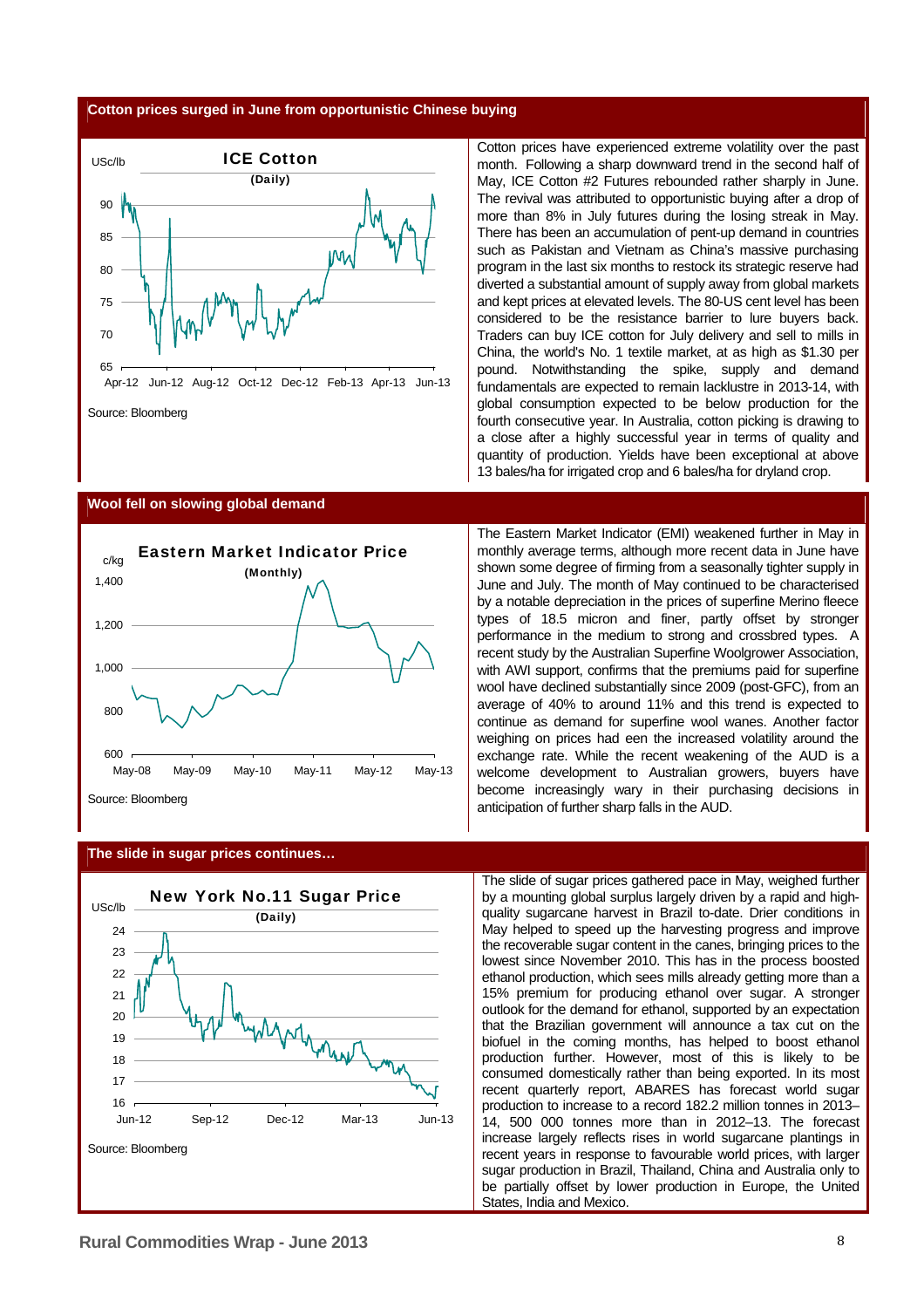#### **Cotton prices surged in June from opportunistic Chinese buying**



Cotton prices have experienced extreme volatility over the past month. Following a sharp downward trend in the second half of May, ICE Cotton #2 Futures rebounded rather sharply in June. The revival was attributed to opportunistic buying after a drop of more than 8% in July futures during the losing streak in May. There has been an accumulation of pent-up demand in countries such as Pakistan and Vietnam as China's massive purchasing program in the last six months to restock its strategic reserve had diverted a substantial amount of supply away from global markets and kept prices at elevated levels. The 80-US cent level has been considered to be the resistance barrier to lure buyers back. Traders can buy ICE cotton for July delivery and sell to mills in China, the world's No. 1 textile market, at as high as \$1.30 per pound. Notwithstanding the spike, supply and demand fundamentals are expected to remain lacklustre in 2013-14, with global consumption expected to be below production for the fourth consecutive year. In Australia, cotton picking is drawing to a close after a highly successful year in terms of quality and quantity of production. Yields have been exceptional at above 13 bales/ha for irrigated crop and 6 bales/ha for dryland crop.

#### **Wool fell on slowing global demand**



The Eastern Market Indicator (EMI) weakened further in May in monthly average terms, although more recent data in June have shown some degree of firming from a seasonally tighter supply in June and July. The month of May continued to be characterised by a notable depreciation in the prices of superfine Merino fleece types of 18.5 micron and finer, partly offset by stronger performance in the medium to strong and crossbred types. A recent study by the Australian Superfine Woolgrower Association, with AWI support, confirms that the premiums paid for superfine wool have declined substantially since 2009 (post-GFC), from an average of 40% to around 11% and this trend is expected to continue as demand for superfine wool wanes. Another factor weighing on prices had een the increased volatility around the exchange rate. While the recent weakening of the AUD is a welcome development to Australian growers, buyers have become increasingly wary in their purchasing decisions in anticipation of further sharp falls in the AUD.

**The slide in sugar prices continues…** 



The slide of sugar prices gathered pace in May, weighed further by a mounting global surplus largely driven by a rapid and highquality sugarcane harvest in Brazil to-date. Drier conditions in May helped to speed up the harvesting progress and improve the recoverable sugar content in the canes, bringing prices to the lowest since November 2010. This has in the process boosted ethanol production, which sees mills already getting more than a 15% premium for producing ethanol over sugar. A stronger outlook for the demand for ethanol, supported by an expectation that the Brazilian government will announce a tax cut on the biofuel in the coming months, has helped to boost ethanol production further. However, most of this is likely to be consumed domestically rather than being exported. In its most recent quarterly report, ABARES has forecast world sugar production to increase to a record 182.2 million tonnes in 2013– 14, 500 000 tonnes more than in 2012–13. The forecast increase largely reflects rises in world sugarcane plantings in recent years in response to favourable world prices, with larger sugar production in Brazil, Thailand, China and Australia only to be partially offset by lower production in Europe, the United States, India and Mexico.